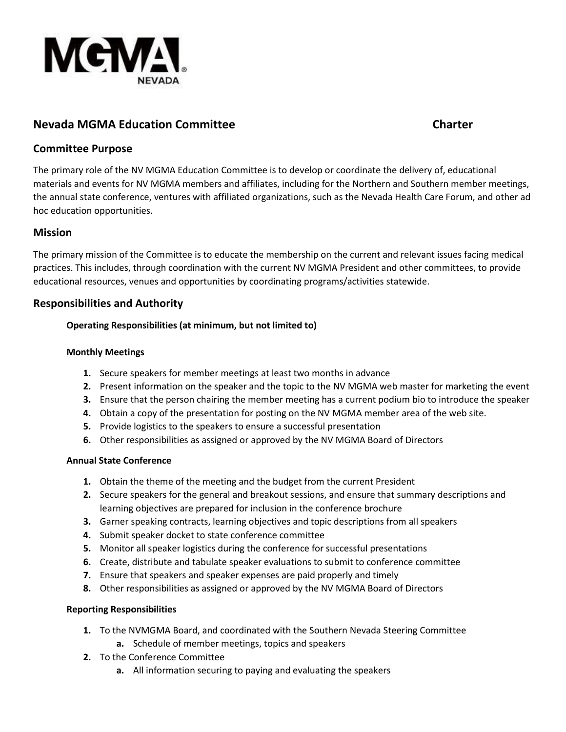

# **Nevada MGMA Education Committee Charter**

## **Committee Purpose**

The primary role of the NV MGMA Education Committee is to develop or coordinate the delivery of, educational materials and events for NV MGMA members and affiliates, including for the Northern and Southern member meetings, the annual state conference, ventures with affiliated organizations, such as the Nevada Health Care Forum, and other ad hoc education opportunities.

## **Mission**

The primary mission of the Committee is to educate the membership on the current and relevant issues facing medical practices. This includes, through coordination with the current NV MGMA President and other committees, to provide educational resources, venues and opportunities by coordinating programs/activities statewide.

## **Responsibilities and Authority**

### **Operating Responsibilities (at minimum, but not limited to)**

#### **Monthly Meetings**

- **1.** Secure speakers for member meetings at least two months in advance
- **2.** Present information on the speaker and the topic to the NV MGMA web master for marketing the event
- **3.** Ensure that the person chairing the member meeting has a current podium bio to introduce the speaker
- **4.** Obtain a copy of the presentation for posting on the NV MGMA member area of the web site.
- **5.** Provide logistics to the speakers to ensure a successful presentation
- **6.** Other responsibilities as assigned or approved by the NV MGMA Board of Directors

#### **Annual State Conference**

- **1.** Obtain the theme of the meeting and the budget from the current President
- **2.** Secure speakers for the general and breakout sessions, and ensure that summary descriptions and learning objectives are prepared for inclusion in the conference brochure
- **3.** Garner speaking contracts, learning objectives and topic descriptions from all speakers
- **4.** Submit speaker docket to state conference committee
- **5.** Monitor all speaker logistics during the conference for successful presentations
- **6.** Create, distribute and tabulate speaker evaluations to submit to conference committee
- **7.** Ensure that speakers and speaker expenses are paid properly and timely
- **8.** Other responsibilities as assigned or approved by the NV MGMA Board of Directors

#### **Reporting Responsibilities**

- **1.** To the NVMGMA Board, and coordinated with the Southern Nevada Steering Committee
	- **a.** Schedule of member meetings, topics and speakers
- **2.** To the Conference Committee
	- **a.** All information securing to paying and evaluating the speakers